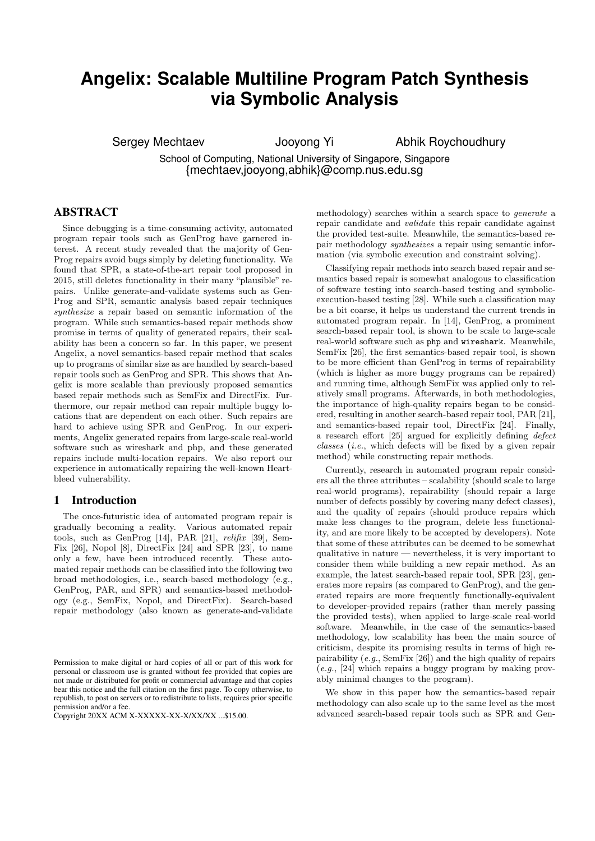# **Angelix: Scalable Multiline Program Patch Synthesis via Symbolic Analysis**

Sergey Mechtaev Jooyong Yi Abhik Roychoudhury

School of Computing, National University of Singapore, Singapore {mechtaev,jooyong,abhik}@comp.nus.edu.sg

# ABSTRACT

Since debugging is a time-consuming activity, automated program repair tools such as GenProg have garnered interest. A recent study revealed that the majority of Gen-Prog repairs avoid bugs simply by deleting functionality. We found that SPR, a state-of-the-art repair tool proposed in 2015, still deletes functionality in their many "plausible" repairs. Unlike generate-and-validate systems such as Gen-Prog and SPR, semantic analysis based repair techniques synthesize a repair based on semantic information of the program. While such semantics-based repair methods show promise in terms of quality of generated repairs, their scalability has been a concern so far. In this paper, we present Angelix, a novel semantics-based repair method that scales up to programs of similar size as are handled by search-based repair tools such as GenProg and SPR. This shows that Angelix is more scalable than previously proposed semantics based repair methods such as SemFix and DirectFix. Furthermore, our repair method can repair multiple buggy locations that are dependent on each other. Such repairs are hard to achieve using SPR and GenProg. In our experiments, Angelix generated repairs from large-scale real-world software such as wireshark and php, and these generated repairs include multi-location repairs. We also report our experience in automatically repairing the well-known Heartbleed vulnerability.

## 1 Introduction

The once-futuristic idea of automated program repair is gradually becoming a reality. Various automated repair tools, such as GenProg [14], PAR [21], relifix [39], Sem-Fix [26], Nopol [8], DirectFix [24] and SPR [23], to name only a few, have been introduced recently. These automated repair methods can be classified into the following two broad methodologies, i.e., search-based methodology (e.g., GenProg, PAR, and SPR) and semantics-based methodology (e.g., SemFix, Nopol, and DirectFix). Search-based repair methodology (also known as generate-and-validate

methodology) searches within a search space to generate a repair candidate and validate this repair candidate against the provided test-suite. Meanwhile, the semantics-based repair methodology synthesizes a repair using semantic information (via symbolic execution and constraint solving).

Classifying repair methods into search based repair and semantics based repair is somewhat analogous to classification of software testing into search-based testing and symbolicexecution-based testing [28]. While such a classification may be a bit coarse, it helps us understand the current trends in automated program repair. In [14], GenProg, a prominent search-based repair tool, is shown to be scale to large-scale real-world software such as php and wireshark. Meanwhile, SemFix [26], the first semantics-based repair tool, is shown to be more efficient than GenProg in terms of repairability (which is higher as more buggy programs can be repaired) and running time, although SemFix was applied only to relatively small programs. Afterwards, in both methodologies, the importance of high-quality repairs began to be considered, resulting in another search-based repair tool, PAR [21], and semantics-based repair tool, DirectFix [24]. Finally, a research effort [25] argued for explicitly defining defect classes (i.e., which defects will be fixed by a given repair method) while constructing repair methods.

Currently, research in automated program repair considers all the three attributes – scalability (should scale to large real-world programs), repairability (should repair a large number of defects possibly by covering many defect classes), and the quality of repairs (should produce repairs which make less changes to the program, delete less functionality, and are more likely to be accepted by developers). Note that some of these attributes can be deemed to be somewhat qualitative in nature — nevertheless, it is very important to consider them while building a new repair method. As an example, the latest search-based repair tool, SPR [23], generates more repairs (as compared to GenProg), and the generated repairs are more frequently functionally-equivalent to developer-provided repairs (rather than merely passing the provided tests), when applied to large-scale real-world software. Meanwhile, in the case of the semantics-based methodology, low scalability has been the main source of criticism, despite its promising results in terms of high repairability  $(e.g., \text{SemFix} [26])$  and the high quality of repairs  $(e.g., [24]$  which repairs a buggy program by making provably minimal changes to the program).

We show in this paper how the semantics-based repair methodology can also scale up to the same level as the most advanced search-based repair tools such as SPR and Gen-

Permission to make digital or hard copies of all or part of this work for personal or classroom use is granted without fee provided that copies are not made or distributed for profit or commercial advantage and that copies bear this notice and the full citation on the first page. To copy otherwise, to republish, to post on servers or to redistribute to lists, requires prior specific permission and/or a fee.

Copyright 20XX ACM X-XXXXX-XX-X/XX/XX ...\$15.00.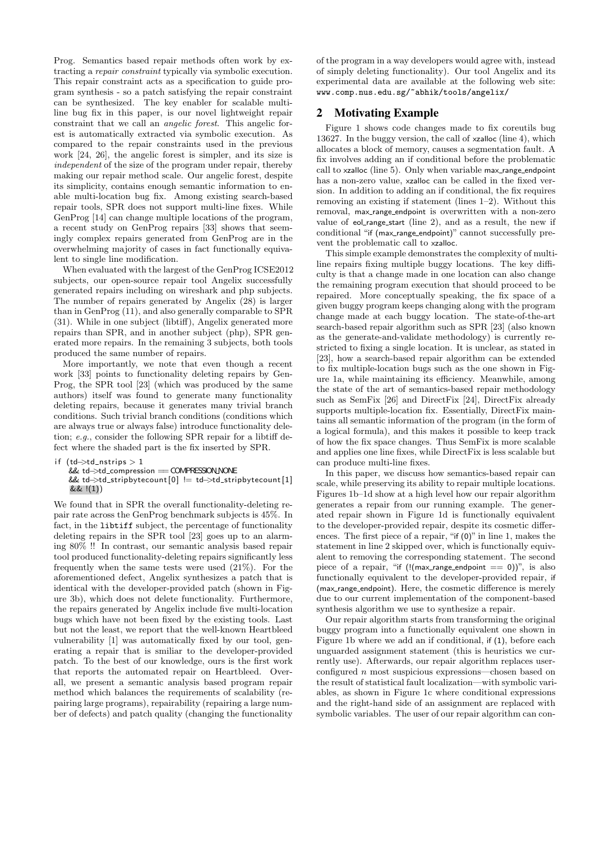Prog. Semantics based repair methods often work by extracting a repair constraint typically via symbolic execution. This repair constraint acts as a specification to guide program synthesis - so a patch satisfying the repair constraint can be synthesized. The key enabler for scalable multiline bug fix in this paper, is our novel lightweight repair constraint that we call an angelic forest. This angelic forest is automatically extracted via symbolic execution. As compared to the repair constraints used in the previous work [24, 26], the angelic forest is simpler, and its size is independent of the size of the program under repair, thereby making our repair method scale. Our angelic forest, despite its simplicity, contains enough semantic information to enable multi-location bug fix. Among existing search-based repair tools, SPR does not support multi-line fixes. While GenProg [14] can change multiple locations of the program, a recent study on GenProg repairs [33] shows that seemingly complex repairs generated from GenProg are in the overwhelming majority of cases in fact functionally equivalent to single line modification.

When evaluated with the largest of the GenProg ICSE2012 subjects, our open-source repair tool Angelix successfully generated repairs including on wireshark and php subjects. The number of repairs generated by Angelix (28) is larger than in GenProg (11), and also generally comparable to SPR (31). While in one subject (libtiff), Angelix generated more repairs than SPR, and in another subject (php), SPR generated more repairs. In the remaining 3 subjects, both tools produced the same number of repairs.

More importantly, we note that even though a recent work [33] points to functionality deleting repairs by Gen-Prog, the SPR tool [23] (which was produced by the same authors) itself was found to generate many functionality deleting repairs, because it generates many trivial branch conditions. Such trivial branch conditions (conditions which are always true or always false) introduce functionality deletion; e.g., consider the following SPR repair for a libtiff defect where the shaded part is the fix inserted by SPR.

```
if (td \rightarrow t d_n)nstrips > 1
    && td−>td compression == COMPRESSIONNONE
    && td−>td stripbytecount [0 ] != td−>td stripbytecount [1 ]
    && !(1))
```
We found that in SPR the overall functionality-deleting repair rate across the GenProg benchmark subjects is 45%. In fact, in the libtiff subject, the percentage of functionality deleting repairs in the SPR tool [23] goes up to an alarming 80% !! In contrast, our semantic analysis based repair tool produced functionality-deleting repairs significantly less frequently when the same tests were used (21%). For the aforementioned defect, Angelix synthesizes a patch that is identical with the developer-provided patch (shown in Figure 3b), which does not delete functionality. Furthermore, the repairs generated by Angelix include five multi-location bugs which have not been fixed by the existing tools. Last but not the least, we report that the well-known Heartbleed vulnerability [1] was automatically fixed by our tool, generating a repair that is smiliar to the developer-provided patch. To the best of our knowledge, ours is the first work that reports the automated repair on Heartbleed. Overall, we present a semantic analysis based program repair method which balances the requirements of scalability (repairing large programs), repairability (repairing a large number of defects) and patch quality (changing the functionality of the program in a way developers would agree with, instead of simply deleting functionality). Our tool Angelix and its experimental data are available at the following web site: www.comp.nus.edu.sg/~abhik/tools/angelix/

# 2 Motivating Example

Figure 1 shows code changes made to fix coreutils bug 13627. In the buggy version, the call of xzalloc (line 4), which allocates a block of memory, causes a segmentation fault. A fix involves adding an if conditional before the problematic call to xzalloc (line 5). Only when variable max\_range\_endpoint has a non-zero value, xzalloc can be called in the fixed version. In addition to adding an if conditional, the fix requires removing an existing if statement (lines 1–2). Without this removal, max range endpoint is overwritten with a non-zero value of  $e$ ol\_range\_start (line 2), and as a result, the new if conditional "if (max\_range\_endpoint)" cannot successfully prevent the problematic call to xzalloc.

This simple example demonstrates the complexity of multiline repairs fixing multiple buggy locations. The key difficulty is that a change made in one location can also change the remaining program execution that should proceed to be repaired. More conceptually speaking, the fix space of a given buggy program keeps changing along with the program change made at each buggy location. The state-of-the-art search-based repair algorithm such as SPR [23] (also known as the generate-and-validate methodology) is currently restricted to fixing a single location. It is unclear, as stated in [23], how a search-based repair algorithm can be extended to fix multiple-location bugs such as the one shown in Figure 1a, while maintaining its efficiency. Meanwhile, among the state of the art of semantics-based repair methodology such as SemFix [26] and DirectFix [24], DirectFix already supports multiple-location fix. Essentially, DirectFix maintains all semantic information of the program (in the form of a logical formula), and this makes it possible to keep track of how the fix space changes. Thus SemFix is more scalable and applies one line fixes, while DirectFix is less scalable but can produce multi-line fixes.

In this paper, we discuss how semantics-based repair can scale, while preserving its ability to repair multiple locations. Figures 1b–1d show at a high level how our repair algorithm generates a repair from our running example. The generated repair shown in Figure 1d is functionally equivalent to the developer-provided repair, despite its cosmetic differences. The first piece of a repair, "if (0)" in line 1, makes the statement in line 2 skipped over, which is functionally equivalent to removing the corresponding statement. The second piece of a repair, "if (!(max\_range\_endpoint  $== 0$ ))", is also functionally equivalent to the developer-provided repair, if (max range endpoint). Here, the cosmetic difference is merely due to our current implementation of the component-based synthesis algorithm we use to synthesize a repair.

Our repair algorithm starts from transforming the original buggy program into a functionally equivalent one shown in Figure 1b where we add an if conditional, if (1), before each unguarded assignment statement (this is heuristics we currently use). Afterwards, our repair algorithm replaces userconfigured n most suspicious expressions—chosen based on the result of statistical fault localization—with symbolic variables, as shown in Figure 1c where conditional expressions and the right-hand side of an assignment are replaced with symbolic variables. The user of our repair algorithm can con-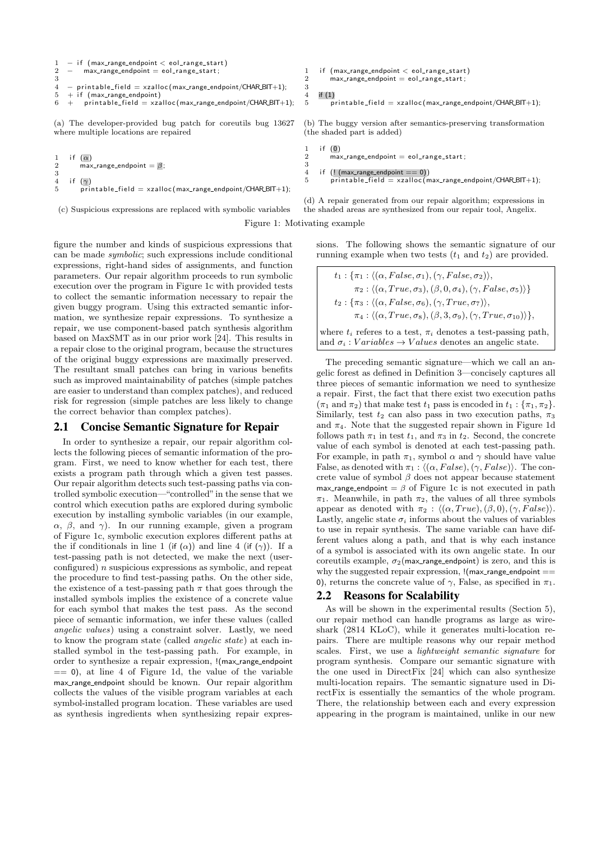```
1 - if (max_range_endpoint < eol_range_start)<br>
2 - max_range_endpoint = eol_range_start:
           max\_range\_endpoint = eol\_range\_start;3
4 - printable_field = xzalloc(max_range_endpoint/CHAR_BIT+1);<br>5 + if (max_range_endpoint)
5 + if (max_range\_endpoint)<br>
6 + orintable field = xzzprintable\_field = xzalloc(max_range_endpoint/CHAR_BIT+1);
```
(a) The developer-provided bug patch for coreutils bug 13627 where multiple locations are repaired

```
1 if (\alpha)<br>2 max
           max\_range\_endpoint = \beta;\frac{3}{4}\frac{4}{5} if \frac{(\gamma)}{pri}\overline{p} printable_field = xzalloc(max_range_endpoint/CHAR_BIT+1);
```
(c) Suspicious expressions are replaced with symbolic variables

Figure 1: Motivating example

 $\frac{3}{4}$ 

figure the number and kinds of suspicious expressions that can be made symbolic; such expressions include conditional expressions, right-hand sides of assignments, and function parameters. Our repair algorithm proceeds to run symbolic execution over the program in Figure 1c with provided tests to collect the semantic information necessary to repair the given buggy program. Using this extracted semantic information, we synthesize repair expressions. To synthesize a repair, we use component-based patch synthesis algorithm based on MaxSMT as in our prior work [24]. This results in a repair close to the original program, because the structures of the original buggy expressions are maximally preserved. The resultant small patches can bring in various benefits such as improved maintainability of patches (simple patches are easier to understand than complex patches), and reduced risk for regression (simple patches are less likely to change the correct behavior than complex patches).

### 2.1 Concise Semantic Signature for Repair

In order to synthesize a repair, our repair algorithm collects the following pieces of semantic information of the program. First, we need to know whether for each test, there exists a program path through which a given test passes. Our repair algorithm detects such test-passing paths via controlled symbolic execution—"controlled"in the sense that we control which execution paths are explored during symbolic execution by installing symbolic variables (in our example,  $\alpha$ ,  $\beta$ , and  $\gamma$ ). In our running example, given a program of Figure 1c, symbolic execution explores different paths at the if conditionals in line 1 (if ( $\alpha$ )) and line 4 (if ( $\gamma$ )). If a test-passing path is not detected, we make the next (userconfigured) n suspicious expressions as symbolic, and repeat the procedure to find test-passing paths. On the other side, the existence of a test-passing path  $\pi$  that goes through the installed symbols implies the existence of a concrete value for each symbol that makes the test pass. As the second piece of semantic information, we infer these values (called angelic values) using a constraint solver. Lastly, we need to know the program state (called angelic state) at each installed symbol in the test-passing path. For example, in order to synthesize a repair expression, !(max range endpoint  $== 0$ , at line 4 of Figure 1d, the value of the variable max range endpoint should be known. Our repair algorithm collects the values of the visible program variables at each symbol-installed program location. These variables are used as synthesis ingredients when synthesizing repair expres-

```
1 if (max\_range\_endpoint < eol\_range\_start)<br>
2 max_range_endpoint = eol\_range\_start;max_range_{endpoint} = eol_range_{start};
\frac{4}{5} if (1)
          \overline{p}rintable_field = xzalloc(max_range_endpoint/CHAR_BIT+1);
```
(b) The buggy version after semantics-preserving transformation (the shaded part is added)

```
\frac{1}{2} if \frac{(0)}{2}\overline{\text{max}}-range-endpoint = eol-range-start;
3
```
4 if  $(l$  (max\_range\_endpoint == 0))<br>5 printable\_field = xzalloc(n  $printable\_field = xz$ alloc (max\_range\_endpoint/CHAR\_BIT+1);

(d) A repair generated from our repair algorithm; expressions in the shaded areas are synthesized from our repair tool, Angelix.

sions. The following shows the semantic signature of our running example when two tests  $(t_1 \text{ and } t_2)$  are provided.

 $t_1$  :  $\{\pi_1 : \langle (\alpha, False, \sigma_1), (\gamma, False, \sigma_2) \rangle\}$  $\pi_2$ :  $\langle (\alpha, True, \sigma_3), (\beta, 0, \sigma_4), (\gamma, False, \sigma_5) \rangle \}$  $t_2$  :  $\{\pi_3 : \langle (\alpha, False, \sigma_6), (\gamma, True, \sigma_7) \rangle,$  $\pi_4$ :  $\langle (\alpha, True, \sigma_8),(\beta, 3, \sigma_9),(\gamma, True, \sigma_{10}) \rangle \},$ where  $t_i$  referes to a test,  $\pi_i$  denotes a test-passing path, and  $\sigma_i$ : Variables  $\rightarrow$  Values denotes an angelic state.

The preceding semantic signature—which we call an angelic forest as defined in Definition 3—concisely captures all three pieces of semantic information we need to synthesize a repair. First, the fact that there exist two execution paths  $(\pi_1 \text{ and } \pi_2)$  that make test  $t_1$  pass is encoded in  $t_1 : {\pi_1, \pi_2}$ . Similarly, test  $t_2$  can also pass in two execution paths,  $\pi_3$ and  $\pi_4$ . Note that the suggested repair shown in Figure 1d follows path  $\pi_1$  in test  $t_1$ , and  $\pi_3$  in  $t_2$ . Second, the concrete value of each symbol is denoted at each test-passing path. For example, in path  $\pi_1$ , symbol  $\alpha$  and  $\gamma$  should have value False, as denoted with  $\pi_1$ :  $\langle (\alpha, False), (\gamma, False) \rangle$ . The concrete value of symbol  $\beta$  does not appear because statement max range endpoint =  $\beta$  of Figure 1c is not executed in path  $\pi_1$ . Meanwhile, in path  $\pi_2$ , the values of all three symbols appear as denoted with  $\pi_2$ :  $\langle (\alpha, True),(\beta, 0),(\gamma, False) \rangle$ . Lastly, angelic state  $\sigma_i$  informs about the values of variables to use in repair synthesis. The same variable can have different values along a path, and that is why each instance of a symbol is associated with its own angelic state. In our coreutils example,  $\sigma_2$ (max range endpoint) is zero, and this is why the suggested repair expression,  $!($  max\_range\_endpoint  $==$ 0), returns the concrete value of  $\gamma$ , False, as specified in  $\pi_1$ .

# 2.2 Reasons for Scalability

As will be shown in the experimental results (Section 5), our repair method can handle programs as large as wireshark (2814 KLoC), while it generates multi-location repairs. There are multiple reasons why our repair method scales. First, we use a lightweight semantic signature for program synthesis. Compare our semantic signature with the one used in DirectFix [24] which can also synthesize multi-location repairs. The semantic signature used in DirectFix is essentially the semantics of the whole program. There, the relationship between each and every expression appearing in the program is maintained, unlike in our new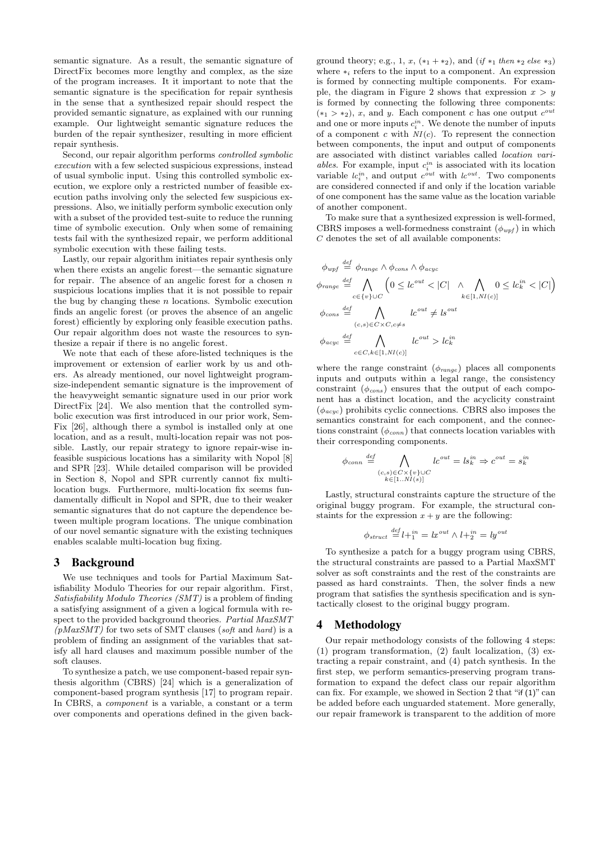semantic signature. As a result, the semantic signature of DirectFix becomes more lengthy and complex, as the size of the program increases. It it important to note that the semantic signature is the specification for repair synthesis in the sense that a synthesized repair should respect the provided semantic signature, as explained with our running example. Our lightweight semantic signature reduces the burden of the repair synthesizer, resulting in more efficient repair synthesis.

Second, our repair algorithm performs controlled symbolic execution with a few selected suspicious expressions, instead of usual symbolic input. Using this controlled symbolic execution, we explore only a restricted number of feasible execution paths involving only the selected few suspicious expressions. Also, we initially perform symbolic execution only with a subset of the provided test-suite to reduce the running time of symbolic execution. Only when some of remaining tests fail with the synthesized repair, we perform additional symbolic execution with these failing tests.

Lastly, our repair algorithm initiates repair synthesis only when there exists an angelic forest—the semantic signature for repair. The absence of an angelic forest for a chosen  $n$ suspicious locations implies that it is not possible to repair the bug by changing these  $n$  locations. Symbolic execution finds an angelic forest (or proves the absence of an angelic forest) efficiently by exploring only feasible execution paths. Our repair algorithm does not waste the resources to synthesize a repair if there is no angelic forest.

We note that each of these afore-listed techniques is the improvement or extension of earlier work by us and others. As already mentioned, our novel lightweight programsize-independent semantic signature is the improvement of the heavyweight semantic signature used in our prior work DirectFix [24]. We also mention that the controlled symbolic execution was first introduced in our prior work, Sem-Fix [26], although there a symbol is installed only at one location, and as a result, multi-location repair was not possible. Lastly, our repair strategy to ignore repair-wise infeasible suspicious locations has a similarity with Nopol [8] and SPR [23]. While detailed comparison will be provided in Section 8, Nopol and SPR currently cannot fix multilocation bugs. Furthermore, multi-location fix seems fundamentally difficult in Nopol and SPR, due to their weaker semantic signatures that do not capture the dependence between multiple program locations. The unique combination of our novel semantic signature with the existing techniques enables scalable multi-location bug fixing.

### 3 Background

We use techniques and tools for Partial Maximum Satisfiability Modulo Theories for our repair algorithm. First, Satisfiability Modulo Theories (SMT) is a problem of finding a satisfying assignment of a given a logical formula with respect to the provided background theories. Partial MaxSMT  $(pMaxSMT)$  for two sets of SMT clauses (soft and hard) is a problem of finding an assignment of the variables that satisfy all hard clauses and maximum possible number of the soft clauses.

To synthesize a patch, we use component-based repair synthesis algorithm (CBRS) [24] which is a generalization of component-based program synthesis [17] to program repair. In CBRS, a component is a variable, a constant or a term over components and operations defined in the given back-

ground theory; e.g., 1, x,  $(*_1 + *_2)$ , and  $(if *_1 then *_2 else *_3)$ where  $*_i$  refers to the input to a component. An expression is formed by connecting multiple components. For example, the diagram in Figure 2 shows that expression  $x > y$ is formed by connecting the following three components:  $(*_1 > *_2), x$ , and y. Each component c has one output  $c^{out}$ and one or more inputs  $c_i^{in}$ . We denote the number of inputs of a component c with  $NI(c)$ . To represent the connection between components, the input and output of components are associated with distinct variables called location variables. For example, input  $c_i^{in}$  is associated with its location variable  $lc_i^{in}$ , and output  $c^{out}$  with  $lc^{out}$ . Two components are considered connected if and only if the location variable of one component has the same value as the location variable of another component.

To make sure that a synthesized expression is well-formed, CBRS imposes a well-formedness constraint  $(\phi_{wpf})$  in which C denotes the set of all available components:

$$
\phi_{wpf} \stackrel{def}{=} \phi_{range} \land \phi_{cons} \land \phi_{acyc}
$$
\n
$$
\phi_{range} \stackrel{def}{=} \bigwedge_{c \in \{v\} \cup C} \left(0 \le lc^{out} < |C| \land \bigwedge_{k \in [1, NI(c)]} 0 \le lc^{in}_{k} < |C|\right)
$$
\n
$$
\phi_{cons} \stackrel{def}{=} \bigwedge_{(c,s) \in C \times C, c \ne s} lc^{out} \ne ls^{out}
$$
\n
$$
\phi_{acyc} \stackrel{def}{=} \bigwedge_{c \in C, k \in [1, NI(c)]} lc^{out} > lc^{in}
$$

where the range constraint  $(\phi_{range})$  places all components inputs and outputs within a legal range, the consistency constraint  $(\phi_{cons})$  ensures that the output of each component has a distinct location, and the acyclicity constraint  $(\phi_{acyc})$  prohibits cyclic connections. CBRS also imposes the semantics constraint for each component, and the connections constraint  $(\phi_{conn})$  that connects location variables with their corresponding components.

$$
\phi_{conn} \stackrel{def}{=} \bigwedge_{\substack{(c,s) \in C \times \{v\} \cup C \\ k \in [1..NI(s)]}} lc^{out} = ls^{in}_k \Rightarrow c^{out} = s^{in}_k
$$

Lastly, structural constraints capture the structure of the original buggy program. For example, the structural constaints for the expression  $x + y$  are the following:

$$
\phi_{struct} \stackrel{def}{=} l +_1^{in} = lx^{out} \wedge l +_2^{in} = ly^{out}
$$

To synthesize a patch for a buggy program using CBRS, the structural constraints are passed to a Partial MaxSMT solver as soft constraints and the rest of the constraints are passed as hard constraints. Then, the solver finds a new program that satisfies the synthesis specification and is syntactically closest to the original buggy program.

### 4 Methodology

Our repair methodology consists of the following 4 steps: (1) program transformation, (2) fault localization, (3) extracting a repair constraint, and (4) patch synthesis. In the first step, we perform semantics-preserving program transformation to expand the defect class our repair algorithm can fix. For example, we showed in Section 2 that "if (1)" can be added before each unguarded statement. More generally, our repair framework is transparent to the addition of more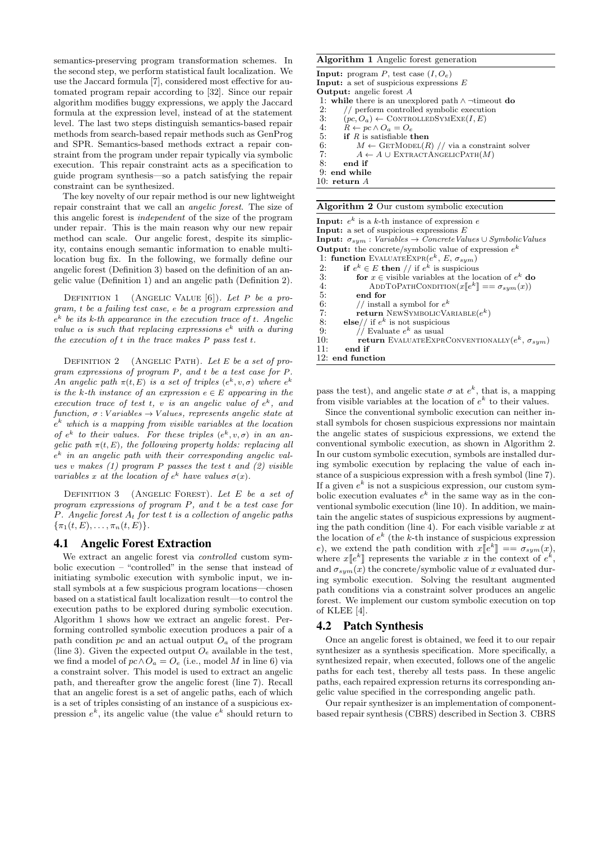semantics-preserving program transformation schemes. In the second step, we perform statistical fault localization. We use the Jaccard formula [7], considered most effective for automated program repair according to [32]. Since our repair algorithm modifies buggy expressions, we apply the Jaccard formula at the expression level, instead of at the statement level. The last two steps distinguish semantics-based repair methods from search-based repair methods such as GenProg and SPR. Semantics-based methods extract a repair constraint from the program under repair typically via symbolic execution. This repair constraint acts as a specification to guide program synthesis—so a patch satisfying the repair constraint can be synthesized.

The key novelty of our repair method is our new lightweight repair constraint that we call an angelic forest. The size of this angelic forest is independent of the size of the program under repair. This is the main reason why our new repair method can scale. Our angelic forest, despite its simplicity, contains enough semantic information to enable multilocation bug fix. In the following, we formally define our angelic forest (Definition 3) based on the definition of an angelic value (Definition 1) and an angelic path (Definition 2).

DEFINITION 1 (ANGELIC VALUE  $[6]$ ). Let P be a program, t be a failing test case, e be a program expression and  $e^{k}$  be its k-th appearance in the execution trace of t. Angelic value  $\alpha$  is such that replacing expressions  $e^k$  with  $\alpha$  during the execution of  $t$  in the trace makes  $P$  pass test  $t$ .

DEFINITION 2 (ANGELIC PATH). Let E be a set of program expressions of program P, and t be a test case for P. An angelic path  $\pi(t, E)$  is a set of triples  $(e^k, v, \sigma)$  where  $e^k$ is the k-th instance of an expression  $e \in E$  appearing in the execution trace of test t, v is an angelic value of  $e^k$ , and function,  $\sigma$  : Variables  $\rightarrow$  Values, represents angelic state at  $e^{k}$  which is a mapping from visible variables at the location of  $e^k$  to their values. For these triples  $(e^k, v, \sigma)$  in an angelic path  $\pi(t, E)$ , the following property holds: replacing all e <sup>k</sup> in an angelic path with their corresponding angelic values v makes  $(1)$  program P passes the test t and  $(2)$  visible variables x at the location of  $e^k$  have values  $\sigma(x)$ .

DEFINITION  $3$  (ANGELIC FOREST). Let E be a set of program expressions of program P, and t be a test case for P. Angelic forest  $A_t$  for test t is a collection of angelic paths  $\{\pi_1(t,E),\ldots,\pi_n(t,E)\}.$ 

### 4.1 Angelic Forest Extraction

We extract an angelic forest via *controlled* custom symbolic execution – "controlled" in the sense that instead of initiating symbolic execution with symbolic input, we install symbols at a few suspicious program locations—chosen based on a statistical fault localization result—to control the execution paths to be explored during symbolic execution. Algorithm 1 shows how we extract an angelic forest. Performing controlled symbolic execution produces a pair of a path condition pc and an actual output  $O<sub>a</sub>$  of the program (line 3). Given the expected output  $O_e$  available in the test, we find a model of  $pc \wedge O_a = O_e$  (i.e., model M in line 6) via a constraint solver. This model is used to extract an angelic path, and thereafter grow the angelic forest (line 7). Recall that an angelic forest is a set of angelic paths, each of which is a set of triples consisting of an instance of a suspicious expression  $e^k$ , its angelic value (the value  $e^k$  should return to

#### Algorithm 1 Angelic forest generation

**Input:** program  $P$ , test case  $(I, O_e)$ **Input:** a set of suspicious expressions  $E$ Output: angelic forest A 1: while there is an unexplored path  $\land \neg$ timeout do 2: // perform controlled symbolic execution 2: // perform controlled symbolic execution<br>3:  $(nc, O_a) \leftarrow \text{CONTROLLEDSYMEXE}(I, E)$ 3:  $(pc, O_a) \leftarrow \text{CONTROLLEDSYMEXE}(I, E)$ <br>4:  $R \leftarrow pc \wedge O_a = O_e$ 4:  $R \leftarrow pc \land O_a = O_e$ <br>5: if R is satisfiable t 5: if R is satisfiable then<br>6:  $M \leftarrow \text{GETMODE}(R)$ 6:  $M \leftarrow \text{GETMODE}(R) // via a constraint solver 7:$   $A \leftarrow A \cup \text{EXTRACTANGELICPATH}(M)$  $A \leftarrow A \cup \text{EXTRACTANGELICPATH}(M)$ 8: end if 9: end while 10: return A

#### Algorithm 2 Our custom symbolic execution

| <b>Input:</b> $e^k$ is a k-th instance of expression e<br><b>Input:</b> a set of suspicious expressions $E$<br><b>Input:</b> $\sigma_{sum}$ : Variables $\rightarrow$ Concrete Values $\cup$ Symbolic Values |
|--------------------------------------------------------------------------------------------------------------------------------------------------------------------------------------------------------------|
| <b>Output:</b> the concrete/symbolic value of expression $e^k$                                                                                                                                               |
| 1: function EVALUATEEXPR $(e^k, E, \sigma_{sym})$                                                                                                                                                            |
| if $e^k \in E$ then // if $e^k$ is suspicious<br>2:                                                                                                                                                          |
| 3:<br>for $x \in$ visible variables at the location of $e^{k}$ do                                                                                                                                            |
| 4:<br>ADDTOPATHCONDITION $(x\llbracket e^k \rrbracket == \sigma_{sum}(x))$                                                                                                                                   |
| 5:<br>end for                                                                                                                                                                                                |
| 6:<br>// install a symbol for $e^{k}$                                                                                                                                                                        |
| 7:<br><b>return</b> NEWSYMBOLICVARIABLE $(e^{k})$                                                                                                                                                            |
| 8:<br>else// if $e^k$ is not suspicious                                                                                                                                                                      |
| 9:<br>// Evaluate $e^k$ as usual                                                                                                                                                                             |
| 10:<br><b>return</b> EVALUATEEXPRCONVENTIONALLY $(e^k, \sigma_{sum})$                                                                                                                                        |
| 11:<br>end if                                                                                                                                                                                                |
| $12:$ end function                                                                                                                                                                                           |

pass the test), and angelic state  $\sigma$  at  $e^k$ , that is, a mapping from visible variables at the location of  $e^k$  to their values.

Since the conventional symbolic execution can neither install symbols for chosen suspicious expressions nor maintain the angelic states of suspicious expressions, we extend the conventional symbolic execution, as shown in Algorithm 2. In our custom symbolic execution, symbols are installed during symbolic execution by replacing the value of each instance of a suspicious expression with a fresh symbol (line 7). If a given  $e^k$  is not a suspicious expression, our custom symbolic execution evaluates  $e^k$  in the same way as in the conventional symbolic execution (line 10). In addition, we maintain the angelic states of suspicious expressions by augmenting the path condition (line 4). For each visible variable  $x$  at the location of  $e^k$  (the k-th instance of suspicious expression e), we extend the path condition with  $x \llbracket e^k \rrbracket = \sigma_{sym}(x)$ ,<br>where  $x \llbracket e^k \rrbracket$  represents the variable x in the context of  $e^k$ . where  $x[[e^k]]$  represents the variable x in the context of  $e^k$ ,<br>and  $\sigma$  (x) the concrete (symbolic value of x evaluated duri and  $\sigma_{sym}(x)$  the concrete/symbolic value of x evaluated during symbolic execution. Solving the resultant augmented path conditions via a constraint solver produces an angelic forest. We implement our custom symbolic execution on top of KLEE [4].

## 4.2 Patch Synthesis

Once an angelic forest is obtained, we feed it to our repair synthesizer as a synthesis specification. More specifically, a synthesized repair, when executed, follows one of the angelic paths for each test, thereby all tests pass. In these angelic paths, each repaired expression returns its corresponding angelic value specified in the corresponding angelic path.

Our repair synthesizer is an implementation of componentbased repair synthesis (CBRS) described in Section 3. CBRS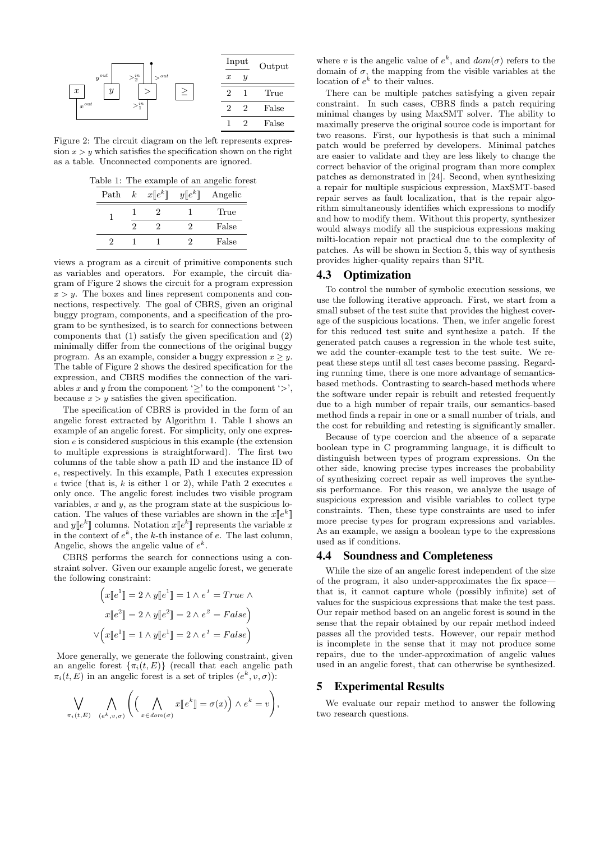

Figure 2: The circuit diagram on the left represents expression  $x > y$  which satisfies the specification shown on the right as a table. Unconnected components are ignored.

Table 1: The example of an angelic forest

| Path | $\boldsymbol{k}$ | $x\llbracket e^k \rrbracket$ | $y\llbracket e^k \rrbracket$ | Angelic |
|------|------------------|------------------------------|------------------------------|---------|
|      |                  |                              |                              | True    |
|      |                  |                              | ٠,                           | False   |
|      |                  |                              | ٠,                           | False   |

views a program as a circuit of primitive components such as variables and operators. For example, the circuit diagram of Figure 2 shows the circuit for a program expression  $x > y$ . The boxes and lines represent components and connections, respectively. The goal of CBRS, given an original buggy program, components, and a specification of the program to be synthesized, is to search for connections between components that (1) satisfy the given specification and (2) minimally differ from the connections of the original buggy program. As an example, consider a buggy expression  $x \geq y$ . The table of Figure 2 shows the desired specification for the expression, and CBRS modifies the connection of the variables x and y from the component ' $\geq$ ' to the component ' $>$ ', because  $x > y$  satisfies the given specification.

The specification of CBRS is provided in the form of an angelic forest extracted by Algorithm 1. Table 1 shows an example of an angelic forest. For simplicity, only one expression e is considered suspicious in this example (the extension to multiple expressions is straightforward). The first two columns of the table show a path ID and the instance ID of e, respectively. In this example, Path 1 executes expression  $e$  twice (that is,  $k$  is either 1 or 2), while Path 2 executes  $e$ only once. The angelic forest includes two visible program variables,  $x$  and  $y$ , as the program state at the suspicious location. The values of these variables are shown in the  $x[e^k]$ <br>and  $u[e^k]$  columns. Notation  $x[e^k]$  represents the variable and  $y[[e^k]]$  columns. Notation  $x[[e^k]]$  represents the variable  $x$ <br>in the context of  $e^k$ , the k th instance of e. The last column in the context of  $e^k$ , the k-th instance of e. The last column, Angelic, shows the angelic value of  $e^k$ .

CBRS performs the search for connections using a constraint solver. Given our example angelic forest, we generate the following constraint:

$$
\left(x[e^1] = 2 \land y[e^1] = 1 \land e^1 = True \land
$$

$$
x[e^2] = 2 \land y[e^2] = 2 \land e^2 = False\right)
$$

$$
\lor \left(x[e^1] = 1 \land y[e^1] = 2 \land e^1 = False\right)
$$

More generally, we generate the following constraint, given an angelic forest  $\{\pi_i(t, E)\}\$  (recall that each angelic path  $\pi_i(t, E)$  in an angelic forest is a set of triples  $(e^k, v, \sigma)$ :

$$
\bigvee_{\pi_i(t,E)} \bigwedge_{(e^k,v,\sigma)} \left( \left( \bigwedge_{x \in dom(\sigma)} x[\![e^k]\!] = \sigma(x) \right) \wedge e^k = v \right),
$$

where v is the angelic value of  $e^k$ , and  $dom(\sigma)$  refers to the domain of  $\sigma$ , the mapping from the visible variables at the location of  $e^k$  to their values.

There can be multiple patches satisfying a given repair constraint. In such cases, CBRS finds a patch requiring minimal changes by using MaxSMT solver. The ability to maximally preserve the original source code is important for two reasons. First, our hypothesis is that such a minimal patch would be preferred by developers. Minimal patches are easier to validate and they are less likely to change the correct behavior of the original program than more complex patches as demonstrated in [24]. Second, when synthesizing a repair for multiple suspicious expression, MaxSMT-based repair serves as fault localization, that is the repair algorithm simultaneously identifies which expressions to modify and how to modify them. Without this property, synthesizer would always modify all the suspicious expressions making milti-location repair not practical due to the complexity of patches. As will be shown in Section 5, this way of synthesis provides higher-quality repairs than SPR.

#### 4.3 Optimization

To control the number of symbolic execution sessions, we use the following iterative approach. First, we start from a small subset of the test suite that provides the highest coverage of the suspicious locations. Then, we infer angelic forest for this reduced test suite and synthesize a patch. If the generated patch causes a regression in the whole test suite, we add the counter-example test to the test suite. We repeat these steps until all test cases become passing. Regarding running time, there is one more advantage of semanticsbased methods. Contrasting to search-based methods where the software under repair is rebuilt and retested frequently due to a high number of repair trails, our semantics-based method finds a repair in one or a small number of trials, and the cost for rebuilding and retesting is significantly smaller.

Because of type coercion and the absence of a separate boolean type in C programming language, it is difficult to distinguish between types of program expressions. On the other side, knowing precise types increases the probability of synthesizing correct repair as well improves the synthesis performance. For this reason, we analyze the usage of suspicious expression and visible variables to collect type constraints. Then, these type constraints are used to infer more precise types for program expressions and variables. As an example, we assign a boolean type to the expressions used as if conditions.

#### 4.4 Soundness and Completeness

While the size of an angelic forest independent of the size of the program, it also under-approximates the fix space that is, it cannot capture whole (possibly infinite) set of values for the suspicious expressions that make the test pass. Our repair method based on an angelic forest is sound in the sense that the repair obtained by our repair method indeed passes all the provided tests. However, our repair method is incomplete in the sense that it may not produce some repairs, due to the under-approximation of angelic values used in an angelic forest, that can otherwise be synthesized.

# 5 Experimental Results

We evaluate our repair method to answer the following two research questions.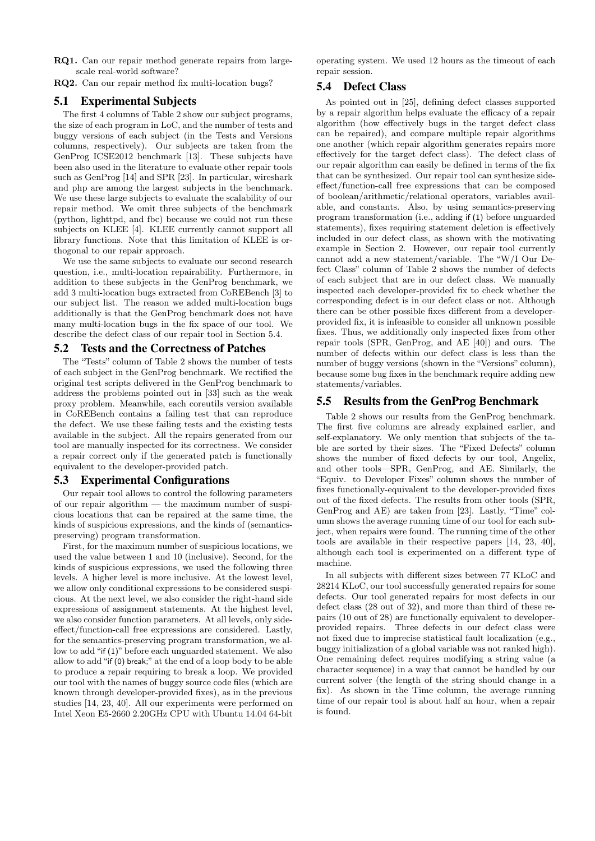RQ1. Can our repair method generate repairs from largescale real-world software?

RQ2. Can our repair method fix multi-location bugs?

# 5.1 Experimental Subjects

The first 4 columns of Table 2 show our subject programs, the size of each program in LoC, and the number of tests and buggy versions of each subject (in the Tests and Versions columns, respectively). Our subjects are taken from the GenProg ICSE2012 benchmark [13]. These subjects have been also used in the literature to evaluate other repair tools such as GenProg [14] and SPR [23]. In particular, wireshark and php are among the largest subjects in the benchmark. We use these large subjects to evaluate the scalability of our repair method. We omit three subjects of the benchmark (python, lighttpd, and fbc) because we could not run these subjects on KLEE [4]. KLEE currently cannot support all library functions. Note that this limitation of KLEE is orthogonal to our repair approach.

We use the same subjects to evaluate our second research question, i.e., multi-location repairability. Furthermore, in addition to these subjects in the GenProg benchmark, we add 3 multi-location bugs extracted from CoREBench [3] to our subject list. The reason we added multi-location bugs additionally is that the GenProg benchmark does not have many multi-location bugs in the fix space of our tool. We describe the defect class of our repair tool in Section 5.4.

# 5.2 Tests and the Correctness of Patches

The "Tests" column of Table 2 shows the number of tests of each subject in the GenProg benchmark. We rectified the original test scripts delivered in the GenProg benchmark to address the problems pointed out in [33] such as the weak proxy problem. Meanwhile, each coreutils version available in CoREBench contains a failing test that can reproduce the defect. We use these failing tests and the existing tests available in the subject. All the repairs generated from our tool are manually inspected for its correctness. We consider a repair correct only if the generated patch is functionally equivalent to the developer-provided patch.

## 5.3 Experimental Configurations

Our repair tool allows to control the following parameters of our repair algorithm — the maximum number of suspicious locations that can be repaired at the same time, the kinds of suspicious expressions, and the kinds of (semanticspreserving) program transformation.

First, for the maximum number of suspicious locations, we used the value between 1 and 10 (inclusive). Second, for the kinds of suspicious expressions, we used the following three levels. A higher level is more inclusive. At the lowest level, we allow only conditional expressions to be considered suspicious. At the next level, we also consider the right-hand side expressions of assignment statements. At the highest level, we also consider function parameters. At all levels, only sideeffect/function-call free expressions are considered. Lastly, for the semantics-preserving program transformation, we allow to add "if (1)" before each unguarded statement. We also allow to add "if (0) break;" at the end of a loop body to be able to produce a repair requiring to break a loop. We provided our tool with the names of buggy source code files (which are known through developer-provided fixes), as in the previous studies [14, 23, 40]. All our experiments were performed on Intel Xeon E5-2660 2.20GHz CPU with Ubuntu 14.04 64-bit

operating system. We used 12 hours as the timeout of each repair session.

# 5.4 Defect Class

As pointed out in [25], defining defect classes supported by a repair algorithm helps evaluate the efficacy of a repair algorithm (how effectively bugs in the target defect class can be repaired), and compare multiple repair algorithms one another (which repair algorithm generates repairs more effectively for the target defect class). The defect class of our repair algorithm can easily be defined in terms of the fix that can be synthesized. Our repair tool can synthesize sideeffect/function-call free expressions that can be composed of boolean/arithmetic/relational operators, variables available, and constants. Also, by using semantics-preserving program transformation (i.e., adding if (1) before unguarded statements), fixes requiring statement deletion is effectively included in our defect class, as shown with the motivating example in Section 2. However, our repair tool currently cannot add a new statement/variable. The "W/I Our Defect Class" column of Table 2 shows the number of defects of each subject that are in our defect class. We manually inspected each developer-provided fix to check whether the corresponding defect is in our defect class or not. Although there can be other possible fixes different from a developerprovided fix, it is infeasible to consider all unknown possible fixes. Thus, we additionally only inspected fixes from other repair tools (SPR, GenProg, and AE [40]) and ours. The number of defects within our defect class is less than the number of buggy versions (shown in the "Versions" column), because some bug fixes in the benchmark require adding new statements/variables.

# 5.5 Results from the GenProg Benchmark

Table 2 shows our results from the GenProg benchmark. The first five columns are already explained earlier, and self-explanatory. We only mention that subjects of the table are sorted by their sizes. The "Fixed Defects" column shows the number of fixed defects by our tool, Angelix, and other tools—SPR, GenProg, and AE. Similarly, the "Equiv. to Developer Fixes" column shows the number of fixes functionally-equivalent to the developer-provided fixes out of the fixed defects. The results from other tools (SPR, GenProg and AE) are taken from [23]. Lastly, "Time" column shows the average running time of our tool for each subject, when repairs were found. The running time of the other tools are available in their respective papers [14, 23, 40], although each tool is experimented on a different type of machine.

In all subjects with different sizes between 77 KLoC and 28214 KLoC, our tool successfully generated repairs for some defects. Our tool generated repairs for most defects in our defect class (28 out of 32), and more than third of these repairs (10 out of 28) are functionally equivalent to developerprovided repairs. Three defects in our defect class were not fixed due to imprecise statistical fault localization (e.g., buggy initialization of a global variable was not ranked high). One remaining defect requires modifying a string value (a character sequence) in a way that cannot be handled by our current solver (the length of the string should change in a fix). As shown in the Time column, the average running time of our repair tool is about half an hour, when a repair is found.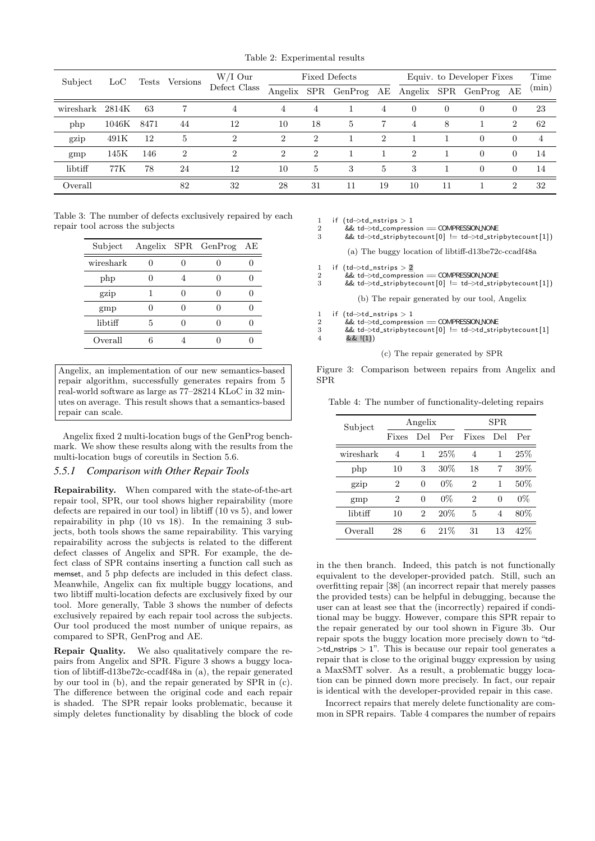Table 2: Experimental results

| Subject   | $_{\mathrm{LoC}}$ | Tests |                | Versions       |                | W/I Our |            | <b>Fixed Defects</b> |                             |          | Equiv. to Developer Fixes |                             |       |  | Time |
|-----------|-------------------|-------|----------------|----------------|----------------|---------|------------|----------------------|-----------------------------|----------|---------------------------|-----------------------------|-------|--|------|
|           |                   |       |                | Defect Class   | Angelix        | SPR     | GenProg AE |                      |                             |          | Angelix SPR GenProg AE    |                             | (min) |  |      |
| wireshark | 2814K             | 63    |                | 4              | 4              | 4       |            | 4                    | $\Omega$                    | $\theta$ | $\overline{0}$            | $\theta$                    | 23    |  |      |
| php       | 1046K             | 8471  | 44             | 12             | 10             | 18      | 5          | $\overline{7}$       | 4                           | 8        |                           | $\overline{2}$              | 62    |  |      |
| gzip      | 491K              | 12    | 5              | $\overline{2}$ | $\overline{2}$ | 2       |            | $\overline{2}$       |                             |          | $\overline{0}$            | $\Omega$                    | 4     |  |      |
| gmp       | 145K              | 146   | $\mathfrak{D}$ | $\mathcal{D}$  | $\overline{2}$ | 2       |            |                      | $\mathcal{D}_{\mathcal{L}}$ |          | $\overline{0}$            | $\Omega$                    | 14    |  |      |
| libtiff   | 77K               | 78    | 24             | 12             | 10             | 5       | 3          | 5                    | 3                           |          | $\Omega$                  | $\Omega$                    | 14    |  |      |
| Overall   |                   |       | 82             | 32             | 28             | 31      | 11         | 19                   | 10                          | 11       |                           | $\mathcal{D}_{\mathcal{L}}$ | 32    |  |      |

Table 3: The number of defects exclusively repaired by each repair tool across the subjects

| Subject   |   | Angelix SPR GenProg | АE |
|-----------|---|---------------------|----|
| wireshark |   |                     |    |
| php       |   |                     |    |
| gzip      |   |                     |    |
| gmp       |   |                     |    |
| libtiff   | 5 |                     |    |
| Overall   |   |                     |    |

Angelix, an implementation of our new semantics-based repair algorithm, successfully generates repairs from 5 real-world software as large as 77–28214 KLoC in 32 minutes on average. This result shows that a semantics-based repair can scale.

Angelix fixed 2 multi-location bugs of the GenProg benchmark. We show these results along with the results from the multi-location bugs of coreutils in Section 5.6.

### *5.5.1 Comparison with Other Repair Tools*

Repairability. When compared with the state-of-the-art repair tool, SPR, our tool shows higher repairability (more defects are repaired in our tool) in libtiff (10 vs 5), and lower repairability in php (10 vs 18). In the remaining 3 subjects, both tools shows the same repairability. This varying repairability across the subjects is related to the different defect classes of Angelix and SPR. For example, the defect class of SPR contains inserting a function call such as memset, and 5 php defects are included in this defect class. Meanwhile, Angelix can fix multiple buggy locations, and two libtiff multi-location defects are exclusively fixed by our tool. More generally, Table 3 shows the number of defects exclusively repaired by each repair tool across the subjects. Our tool produced the most number of unique repairs, as compared to SPR, GenProg and AE.

Repair Quality. We also qualitatively compare the repairs from Angelix and SPR. Figure 3 shows a buggy location of libtiff-d13be72c-ccadf48a in (a), the repair generated by our tool in (b), and the repair generated by SPR in (c). The difference between the original code and each repair is shaded. The SPR repair looks problematic, because it simply deletes functionality by disabling the block of code 1 if  $(td$ ->td\_nstrips > 1<br>2  $\frac{8}{4}$  td->td compress

2 A& td−>td-normer Sextemplession == COMPRESSION.<br>2 8 && td−>td stripbytecount [0] != td->td stri

&& td->td\_stripbytecount [0] != td->td\_stripbytecount [1])

(a) The buggy location of libtiff-d13be72c-ccadf48a

1 if  $(td$  $\rightarrow$ td\_nstrips > 2

2 && td->td\_compression == COMPRESSION\_NONE<br>3 && td->td\_stripbytecount [0] != td->td\_stri

3 && td−>td stripbytecount [ 0 ] != td−>td stripbytecount [ 1 ] ) (b) The repair generated by our tool, Angelix

1 if  $(td \rightarrow td_{\text{in}}) > 1$ <br>2  $\& t d \rightarrow \text{rd}$  compress

2  $\& \text{td}\rightarrow \text{td}$  compression == COMPRESSION.NONE<br>3  $\& \text{td}\rightarrow \text{td}$  \_stripbytecount [0] != td->td\_stri

3 && td−>td stripbytecount [ 0 ] != td−>td stripbytecount [ 1 ]  $4 \&\&\!(1)$ 

(c) The repair generated by SPR

Figure 3: Comparison between repairs from Angelix and SPR

Table 4: The number of functionality-deleting repairs

| Subject   | Angelix |          | SPR.   |                |          |      |
|-----------|---------|----------|--------|----------------|----------|------|
|           | Fixes   | Del      | Per    | Fixes          | Del      | Per  |
| wireshark | 4       | 1        | 25\%   | 4              | 1        | 25\% |
| php       | 10      | 3        | $30\%$ | 18             | 7        | 39%  |
| gzip      | 2       | $\Omega$ | $0\%$  | $\overline{2}$ | 1        | 50%  |
| gmp       | 2       | $\Omega$ | 0%     | $\overline{2}$ | $\Omega$ | 0%   |
| libtiff   | 10      | 2        | 20%    | 5              | 4        | 80%  |
| Overall   | 28      | 6        | 21%    | 31             | 13       | 42\% |

in the then branch. Indeed, this patch is not functionally equivalent to the developer-provided patch. Still, such an overfitting repair [38] (an incorrect repair that merely passes the provided tests) can be helpful in debugging, because the user can at least see that the (incorrectly) repaired if conditional may be buggy. However, compare this SPR repair to the repair generated by our tool shown in Figure 3b. Our repair spots the buggy location more precisely down to "td-  $>$ td\_nstrips  $> 1$ ". This is because our repair tool generates a repair that is close to the original buggy expression by using a MaxSMT solver. As a result, a problematic buggy location can be pinned down more precisely. In fact, our repair is identical with the developer-provided repair in this case.

Incorrect repairs that merely delete functionality are common in SPR repairs. Table 4 compares the number of repairs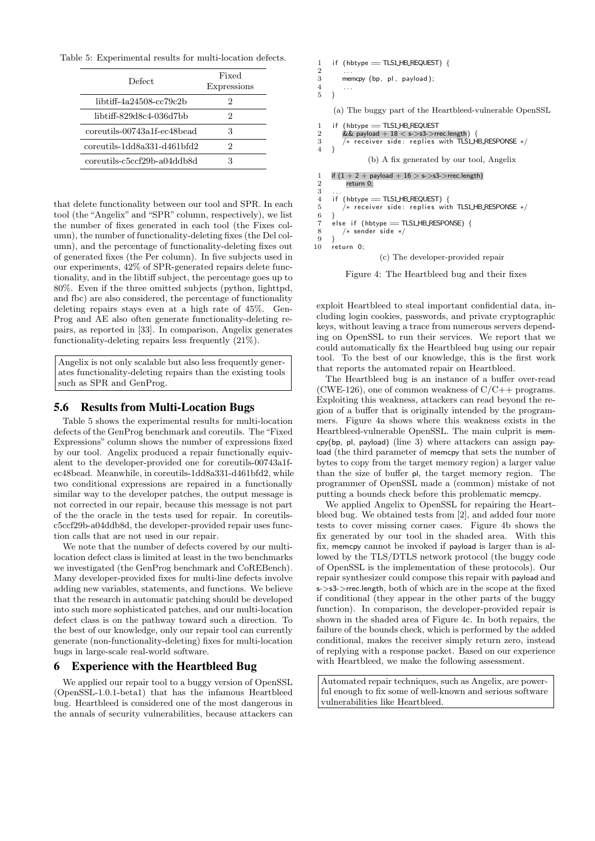Table 5: Experimental results for multi-location defects.

| Defect                      | Fixed<br>Expressions |
|-----------------------------|----------------------|
| libtiff-4a24508-cc79c2b     | 2                    |
| libtiff-829d8c4-036d7bb     | 2                    |
| coreutils-00743a1f-ec48bead | 3                    |
| coreutils-1dd8a331-d461bfd2 | 2                    |
| coreutils-c5ccf29b-a04ddb8d |                      |

that delete functionality between our tool and SPR. In each tool (the "Angelix" and "SPR" column, respectively), we list the number of fixes generated in each tool (the Fixes column), the number of functionality-deleting fixes (the Del column), and the percentage of functionality-deleting fixes out of generated fixes (the Per column). In five subjects used in our experiments, 42% of SPR-generated repairs delete functionality, and in the libtiff subject, the percentage goes up to 80%. Even if the three omitted subjects (python, lighttpd, and fbc) are also considered, the percentage of functionality deleting repairs stays even at a high rate of 45%. Gen-Prog and AE also often generate functionality-deleting repairs, as reported in [33]. In comparison, Angelix generates functionality-deleting repairs less frequently (21%).

Angelix is not only scalable but also less frequently generates functionality-deleting repairs than the existing tools such as SPR and GenProg.

### 5.6 Results from Multi-Location Bugs

Table 5 shows the experimental results for multi-location defects of the GenProg benchmark and coreutils. The "Fixed Expressions" column shows the number of expressions fixed by our tool. Angelix produced a repair functionally equivalent to the developer-provided one for coreutils-00743a1fec48bead. Meanwhile, in coreutils-1dd8a331-d461bfd2, while two conditional expressions are repaired in a functionally similar way to the developer patches, the output message is not corrected in our repair, because this message is not part of the the oracle in the tests used for repair. In coreutilsc5ccf29b-a04ddb8d, the developer-provided repair uses function calls that are not used in our repair.

We note that the number of defects covered by our multilocation defect class is limited at least in the two benchmarks we investigated (the GenProg benchmark and CoREBench). Many developer-provided fixes for multi-line defects involve adding new variables, statements, and functions. We believe that the research in automatic patching should be developed into such more sophisticated patches, and our multi-location defect class is on the pathway toward such a direction. To the best of our knowledge, only our repair tool can currently generate (non-functionality-deleting) fixes for multi-location bugs in large-scale real-world software.

### 6 Experience with the Heartbleed Bug

We applied our repair tool to a buggy version of OpenSSL (OpenSSL-1.0.1-beta1) that has the infamous Heartbleed bug. Heartbleed is considered one of the most dangerous in the annals of security vulnerabilities, because attackers can

```
1 if (hbtype = TLS1_HB_REQUEST) {
 2 . . .
 3 memcpy (bp, pl, payload);
 \frac{4}{5}5 }
      (a) The buggy part of the Heartbleed-vulnerable OpenSSL
 1 if (hbtype == TLS1LHB_REQUEST
 2 && payload + 18 < s->s3->rrec.length) {
3 /∗ receive r side : r e pli e s with TLS1 HB RESPONSE ∗/
 4 }
                   (b) A fix generated by our tool, Angelix
 1 if (1 + 2 + payload + 16 > s->s3->rrec.length)
           return 0;
 \begin{array}{c} 3 \\ 4 \end{array}4 if (hbtype = TLS1 HB REQUEST) {<br>5 /* receiver side: replies wit
          /* receiver side: replies with TLS1HB_RESPONSE */
 \frac{6}{7}else if (hbtype = TLS1 HB RESPONSE) {
 8 / /* sender side */
\begin{matrix} 9 & 3 \\ 10 & r \end{matrix}return 0:
                       (c) The developer-provided repair
```
Figure 4: The Heartbleed bug and their fixes

exploit Heartbleed to steal important confidential data, including login cookies, passwords, and private cryptographic keys, without leaving a trace from numerous servers depending on OpenSSL to run their services. We report that we could automatically fix the Heartbleed bug using our repair tool. To the best of our knowledge, this is the first work that reports the automated repair on Heartbleed.

The Heartbleed bug is an instance of a buffer over-read (CWE-126), one of common weakness of  $C/C++$  programs. Exploiting this weakness, attackers can read beyond the region of a buffer that is originally intended by the programmers. Figure 4a shows where this weakness exists in the Heartbleed-vulnerable OpenSSL. The main culprit is memcpy(bp, pl, payload) (line 3) where attackers can assign payload (the third parameter of memcpy that sets the number of bytes to copy from the target memory region) a larger value than the size of buffer pl, the target memory region. The programmer of OpenSSL made a (common) mistake of not putting a bounds check before this problematic memcpy.

We applied Angelix to OpenSSL for repairing the Heartbleed bug. We obtained tests from [2], and added four more tests to cover missing corner cases. Figure 4b shows the fix generated by our tool in the shaded area. With this fix, memcpy cannot be invoked if payload is larger than is allowed by the TLS/DTLS network protocol (the buggy code of OpenSSL is the implementation of these protocols). Our repair synthesizer could compose this repair with payload and s->s3->rrec.length, both of which are in the scope at the fixed if conditional (they appear in the other parts of the buggy function). In comparison, the developer-provided repair is shown in the shaded area of Figure 4c. In both repairs, the failure of the bounds check, which is performed by the added conditional, makes the receiver simply return zero, instead of replying with a response packet. Based on our experience with Heartbleed, we make the following assessment.

Automated repair techniques, such as Angelix, are powerful enough to fix some of well-known and serious software vulnerabilities like Heartbleed.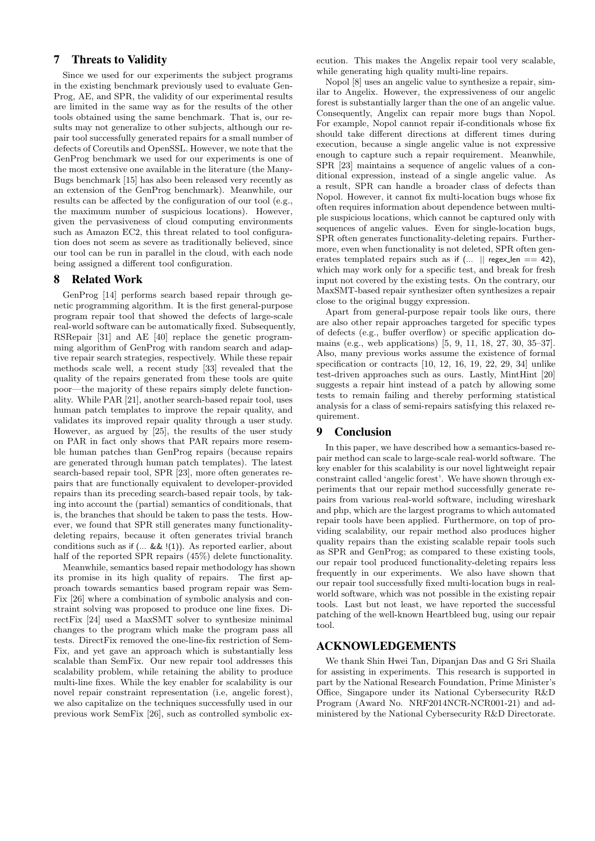# 7 Threats to Validity

Since we used for our experiments the subject programs in the existing benchmark previously used to evaluate Gen-Prog, AE, and SPR, the validity of our experimental results are limited in the same way as for the results of the other tools obtained using the same benchmark. That is, our results may not generalize to other subjects, although our repair tool successfully generated repairs for a small number of defects of Coreutils and OpenSSL. However, we note that the GenProg benchmark we used for our experiments is one of the most extensive one available in the literature (the Many-Bugs benchmark [15] has also been released very recently as an extension of the GenProg benchmark). Meanwhile, our results can be affected by the configuration of our tool (e.g., the maximum number of suspicious locations). However, given the pervasiveness of cloud computing environments such as Amazon EC2, this threat related to tool configuration does not seem as severe as traditionally believed, since our tool can be run in parallel in the cloud, with each node being assigned a different tool configuration.

# 8 Related Work

GenProg [14] performs search based repair through genetic programming algorithm. It is the first general-purpose program repair tool that showed the defects of large-scale real-world software can be automatically fixed. Subsequently, RSRepair [31] and AE [40] replace the genetic programming algorithm of GenProg with random search and adaptive repair search strategies, respectively. While these repair methods scale well, a recent study [33] revealed that the quality of the repairs generated from these tools are quite poor—the majority of these repairs simply delete functionality. While PAR [21], another search-based repair tool, uses human patch templates to improve the repair quality, and validates its improved repair quality through a user study. However, as argued by [25], the results of the user study on PAR in fact only shows that PAR repairs more resemble human patches than GenProg repairs (because repairs are generated through human patch templates). The latest search-based repair tool, SPR [23], more often generates repairs that are functionally equivalent to developer-provided repairs than its preceding search-based repair tools, by taking into account the (partial) semantics of conditionals, that is, the branches that should be taken to pass the tests. However, we found that SPR still generates many functionalitydeleting repairs, because it often generates trivial branch conditions such as if (... && !(1)). As reported earlier, about half of the reported SPR repairs  $(45%)$  delete functionality.

Meanwhile, semantics based repair methodology has shown its promise in its high quality of repairs. The first approach towards semantics based program repair was Sem-Fix [26] where a combination of symbolic analysis and constraint solving was proposed to produce one line fixes. DirectFix [24] used a MaxSMT solver to synthesize minimal changes to the program which make the program pass all tests. DirectFix removed the one-line-fix restriction of Sem-Fix, and yet gave an approach which is substantially less scalable than SemFix. Our new repair tool addresses this scalability problem, while retaining the ability to produce multi-line fixes. While the key enabler for scalability is our novel repair constraint representation (i.e, angelic forest), we also capitalize on the techniques successfully used in our previous work SemFix [26], such as controlled symbolic execution. This makes the Angelix repair tool very scalable, while generating high quality multi-line repairs.

Nopol [8] uses an angelic value to synthesize a repair, similar to Angelix. However, the expressiveness of our angelic forest is substantially larger than the one of an angelic value. Consequently, Angelix can repair more bugs than Nopol. For example, Nopol cannot repair if-conditionals whose fix should take different directions at different times during execution, because a single angelic value is not expressive enough to capture such a repair requirement. Meanwhile, SPR [23] maintains a sequence of angelic values of a conditional expression, instead of a single angelic value. As a result, SPR can handle a broader class of defects than Nopol. However, it cannot fix multi-location bugs whose fix often requires information about dependence between multiple suspicious locations, which cannot be captured only with sequences of angelic values. Even for single-location bugs, SPR often generates functionality-deleting repairs. Furthermore, even when functionality is not deleted, SPR often generates templated repairs such as if  $(... \|$  regex len == 42), which may work only for a specific test, and break for fresh input not covered by the existing tests. On the contrary, our MaxSMT-based repair synthesizer often synthesizes a repair close to the original buggy expression.

Apart from general-purpose repair tools like ours, there are also other repair approaches targeted for specific types of defects (e.g., buffer overflow) or specific application domains (e.g., web applications) [5, 9, 11, 18, 27, 30, 35–37]. Also, many previous works assume the existence of formal specification or contracts [10, 12, 16, 19, 22, 29, 34] unlike test-driven approaches such as ours. Lastly, MintHint [20] suggests a repair hint instead of a patch by allowing some tests to remain failing and thereby performing statistical analysis for a class of semi-repairs satisfying this relaxed requirement.

## 9 Conclusion

In this paper, we have described how a semantics-based repair method can scale to large-scale real-world software. The key enabler for this scalability is our novel lightweight repair constraint called 'angelic forest'. We have shown through experiments that our repair method successfully generate repairs from various real-world software, including wireshark and php, which are the largest programs to which automated repair tools have been applied. Furthermore, on top of providing scalability, our repair method also produces higher quality repairs than the existing scalable repair tools such as SPR and GenProg; as compared to these existing tools, our repair tool produced functionality-deleting repairs less frequently in our experiments. We also have shown that our repair tool successfully fixed multi-location bugs in realworld software, which was not possible in the existing repair tools. Last but not least, we have reported the successful patching of the well-known Heartbleed bug, using our repair tool.

# ACKNOWLEDGEMENTS

We thank Shin Hwei Tan, Dipanjan Das and G Sri Shaila for assisting in experiments. This research is supported in part by the National Research Foundation, Prime Minister's Office, Singapore under its National Cybersecurity R&D Program (Award No. NRF2014NCR-NCR001-21) and administered by the National Cybersecurity R&D Directorate.